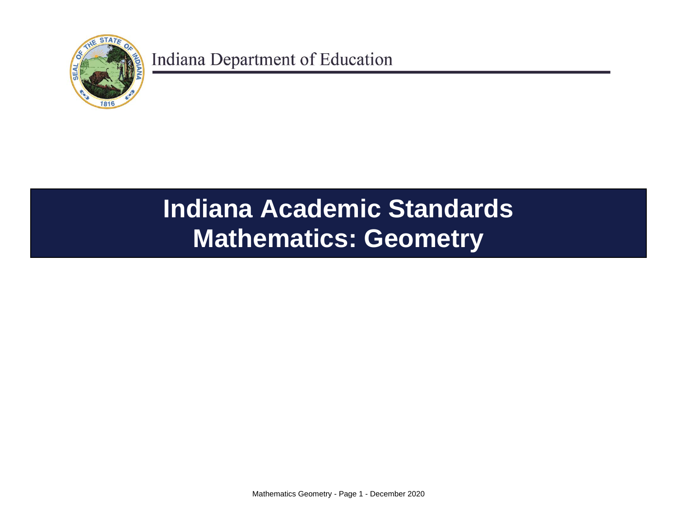

# **Indiana Academic Standards Mathematics: Geometry**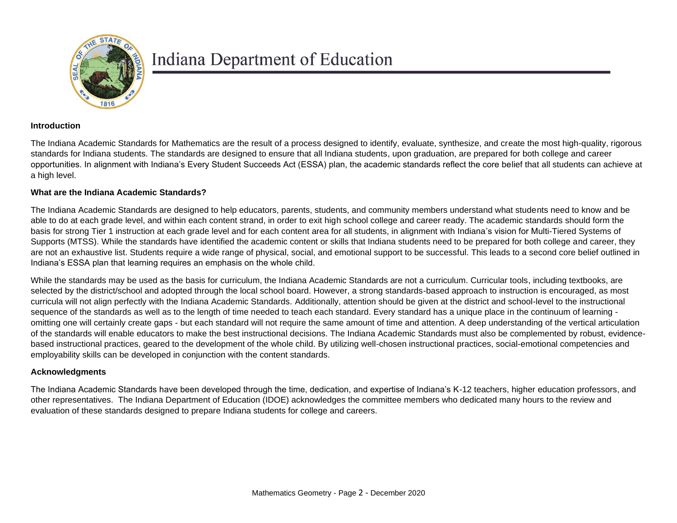

#### **Introduction**

The Indiana Academic Standards for Mathematics are the result of a process designed to identify, evaluate, synthesize, and create the most high-quality, rigorous standards for Indiana students. The standards are designed to ensure that all Indiana students, upon graduation, are prepared for both college and career opportunities. In alignment with Indiana's Every Student Succeeds Act (ESSA) plan, the academic standards reflect the core belief that all students can achieve at a high level.

#### **What are the Indiana Academic Standards?**

The Indiana Academic Standards are designed to help educators, parents, students, and community members understand what students need to know and be able to do at each grade level, and within each content strand, in order to exit high school college and career ready. The academic standards should form the basis for strong Tier 1 instruction at each grade level and for each content area for all students, in alignment with Indiana's vision for Multi-Tiered Systems of Supports (MTSS). While the standards have identified the academic content or skills that Indiana students need to be prepared for both college and career, they are not an exhaustive list. Students require a wide range of physical, social, and emotional support to be successful. This leads to a second core belief outlined in Indiana's ESSA plan that learning requires an emphasis on the whole child.

While the standards may be used as the basis for curriculum, the Indiana Academic Standards are not a curriculum. Curricular tools, including textbooks, are selected by the district/school and adopted through the local school board. However, a strong standards-based approach to instruction is encouraged, as most curricula will not align perfectly with the Indiana Academic Standards. Additionally, attention should be given at the district and school-level to the instructional sequence of the standards as well as to the length of time needed to teach each standard. Every standard has a unique place in the continuum of learning omitting one will certainly create gaps - but each standard will not require the same amount of time and attention. A deep understanding of the vertical articulation of the standards will enable educators to make the best instructional decisions. The Indiana Academic Standards must also be complemented by robust, evidencebased instructional practices, geared to the development of the whole child. By utilizing well-chosen instructional practices, social-emotional competencies and employability skills can be developed in conjunction with the content standards.

#### **Acknowledgments**

The Indiana Academic Standards have been developed through the time, dedication, and expertise of Indiana's K-12 teachers, higher education professors, and other representatives. The Indiana Department of Education (IDOE) acknowledges the committee members who dedicated many hours to the review and evaluation of these standards designed to prepare Indiana students for college and careers.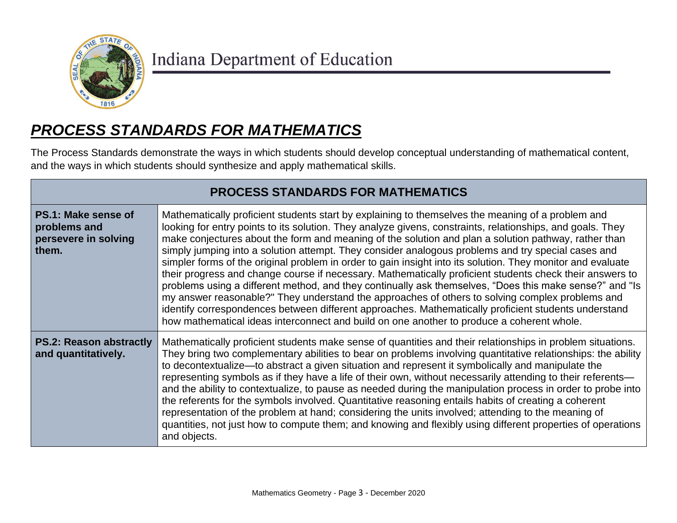

## *PROCESS STANDARDS FOR MATHEMATICS*

The Process Standards demonstrate the ways in which students should develop conceptual understanding of mathematical content, and the ways in which students should synthesize and apply mathematical skills.

| <b>PROCESS STANDARDS FOR MATHEMATICS</b>                             |                                                                                                                                                                                                                                                                                                                                                                                                                                                                                                                                                                                                                                                                                                                                                                                                                                                                                                                                                                                                                                                                             |
|----------------------------------------------------------------------|-----------------------------------------------------------------------------------------------------------------------------------------------------------------------------------------------------------------------------------------------------------------------------------------------------------------------------------------------------------------------------------------------------------------------------------------------------------------------------------------------------------------------------------------------------------------------------------------------------------------------------------------------------------------------------------------------------------------------------------------------------------------------------------------------------------------------------------------------------------------------------------------------------------------------------------------------------------------------------------------------------------------------------------------------------------------------------|
| PS.1: Make sense of<br>problems and<br>persevere in solving<br>them. | Mathematically proficient students start by explaining to themselves the meaning of a problem and<br>looking for entry points to its solution. They analyze givens, constraints, relationships, and goals. They<br>make conjectures about the form and meaning of the solution and plan a solution pathway, rather than<br>simply jumping into a solution attempt. They consider analogous problems and try special cases and<br>simpler forms of the original problem in order to gain insight into its solution. They monitor and evaluate<br>their progress and change course if necessary. Mathematically proficient students check their answers to<br>problems using a different method, and they continually ask themselves, "Does this make sense?" and "Is<br>my answer reasonable?" They understand the approaches of others to solving complex problems and<br>identify correspondences between different approaches. Mathematically proficient students understand<br>how mathematical ideas interconnect and build on one another to produce a coherent whole. |
| <b>PS.2: Reason abstractly</b><br>and quantitatively.                | Mathematically proficient students make sense of quantities and their relationships in problem situations.<br>They bring two complementary abilities to bear on problems involving quantitative relationships: the ability<br>to decontextualize—to abstract a given situation and represent it symbolically and manipulate the<br>representing symbols as if they have a life of their own, without necessarily attending to their referents—<br>and the ability to contextualize, to pause as needed during the manipulation process in order to probe into<br>the referents for the symbols involved. Quantitative reasoning entails habits of creating a coherent<br>representation of the problem at hand; considering the units involved; attending to the meaning of<br>quantities, not just how to compute them; and knowing and flexibly using different properties of operations<br>and objects.                                                                                                                                                                  |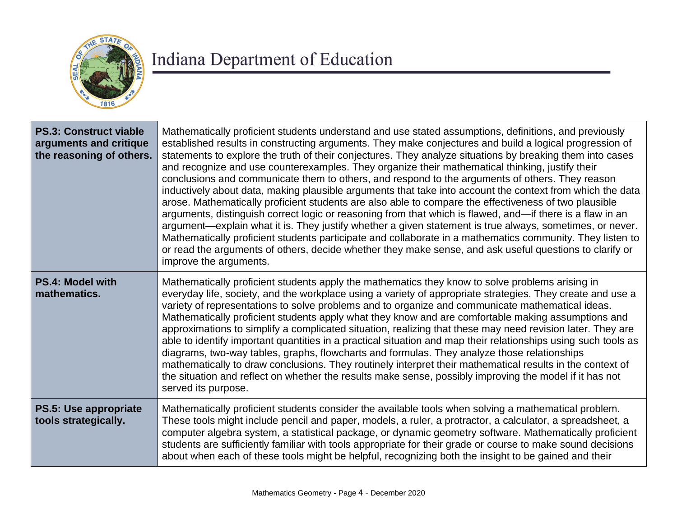

| <b>PS.3: Construct viable</b><br>arguments and critique<br>the reasoning of others. | Mathematically proficient students understand and use stated assumptions, definitions, and previously<br>established results in constructing arguments. They make conjectures and build a logical progression of<br>statements to explore the truth of their conjectures. They analyze situations by breaking them into cases<br>and recognize and use counterexamples. They organize their mathematical thinking, justify their<br>conclusions and communicate them to others, and respond to the arguments of others. They reason<br>inductively about data, making plausible arguments that take into account the context from which the data<br>arose. Mathematically proficient students are also able to compare the effectiveness of two plausible<br>arguments, distinguish correct logic or reasoning from that which is flawed, and—if there is a flaw in an<br>argument—explain what it is. They justify whether a given statement is true always, sometimes, or never.<br>Mathematically proficient students participate and collaborate in a mathematics community. They listen to<br>or read the arguments of others, decide whether they make sense, and ask useful questions to clarify or<br>improve the arguments. |
|-------------------------------------------------------------------------------------|--------------------------------------------------------------------------------------------------------------------------------------------------------------------------------------------------------------------------------------------------------------------------------------------------------------------------------------------------------------------------------------------------------------------------------------------------------------------------------------------------------------------------------------------------------------------------------------------------------------------------------------------------------------------------------------------------------------------------------------------------------------------------------------------------------------------------------------------------------------------------------------------------------------------------------------------------------------------------------------------------------------------------------------------------------------------------------------------------------------------------------------------------------------------------------------------------------------------------------------|
| <b>PS.4: Model with</b><br>mathematics.                                             | Mathematically proficient students apply the mathematics they know to solve problems arising in<br>everyday life, society, and the workplace using a variety of appropriate strategies. They create and use a<br>variety of representations to solve problems and to organize and communicate mathematical ideas.<br>Mathematically proficient students apply what they know and are comfortable making assumptions and<br>approximations to simplify a complicated situation, realizing that these may need revision later. They are<br>able to identify important quantities in a practical situation and map their relationships using such tools as<br>diagrams, two-way tables, graphs, flowcharts and formulas. They analyze those relationships<br>mathematically to draw conclusions. They routinely interpret their mathematical results in the context of<br>the situation and reflect on whether the results make sense, possibly improving the model if it has not<br>served its purpose.                                                                                                                                                                                                                                |
| PS.5: Use appropriate<br>tools strategically.                                       | Mathematically proficient students consider the available tools when solving a mathematical problem.<br>These tools might include pencil and paper, models, a ruler, a protractor, a calculator, a spreadsheet, a<br>computer algebra system, a statistical package, or dynamic geometry software. Mathematically proficient<br>students are sufficiently familiar with tools appropriate for their grade or course to make sound decisions<br>about when each of these tools might be helpful, recognizing both the insight to be gained and their                                                                                                                                                                                                                                                                                                                                                                                                                                                                                                                                                                                                                                                                                  |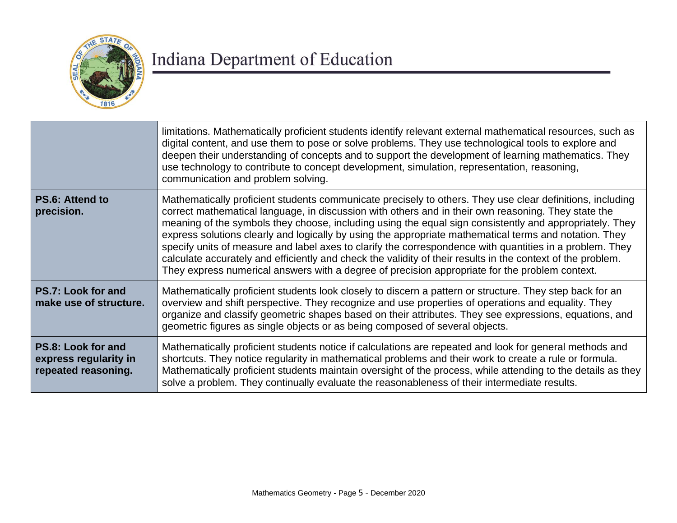

|                                                                    | limitations. Mathematically proficient students identify relevant external mathematical resources, such as<br>digital content, and use them to pose or solve problems. They use technological tools to explore and<br>deepen their understanding of concepts and to support the development of learning mathematics. They<br>use technology to contribute to concept development, simulation, representation, reasoning,<br>communication and problem solving.                                                                                                                                                                                                                                                                                                     |
|--------------------------------------------------------------------|--------------------------------------------------------------------------------------------------------------------------------------------------------------------------------------------------------------------------------------------------------------------------------------------------------------------------------------------------------------------------------------------------------------------------------------------------------------------------------------------------------------------------------------------------------------------------------------------------------------------------------------------------------------------------------------------------------------------------------------------------------------------|
| <b>PS.6: Attend to</b><br>precision.                               | Mathematically proficient students communicate precisely to others. They use clear definitions, including<br>correct mathematical language, in discussion with others and in their own reasoning. They state the<br>meaning of the symbols they choose, including using the equal sign consistently and appropriately. They<br>express solutions clearly and logically by using the appropriate mathematical terms and notation. They<br>specify units of measure and label axes to clarify the correspondence with quantities in a problem. They<br>calculate accurately and efficiently and check the validity of their results in the context of the problem.<br>They express numerical answers with a degree of precision appropriate for the problem context. |
| PS.7: Look for and<br>make use of structure.                       | Mathematically proficient students look closely to discern a pattern or structure. They step back for an<br>overview and shift perspective. They recognize and use properties of operations and equality. They<br>organize and classify geometric shapes based on their attributes. They see expressions, equations, and<br>geometric figures as single objects or as being composed of several objects.                                                                                                                                                                                                                                                                                                                                                           |
| PS.8: Look for and<br>express regularity in<br>repeated reasoning. | Mathematically proficient students notice if calculations are repeated and look for general methods and<br>shortcuts. They notice regularity in mathematical problems and their work to create a rule or formula.<br>Mathematically proficient students maintain oversight of the process, while attending to the details as they<br>solve a problem. They continually evaluate the reasonableness of their intermediate results.                                                                                                                                                                                                                                                                                                                                  |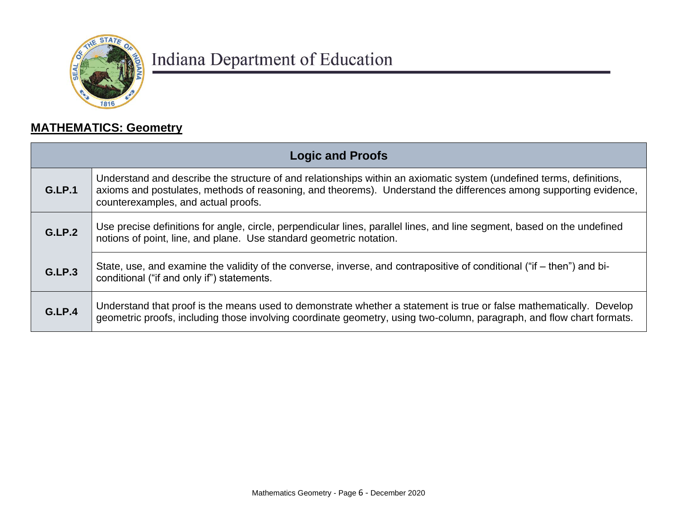

### **MATHEMATICS: Geometry**

| <b>Logic and Proofs</b> |                                                                                                                                                                                                                                                                                  |
|-------------------------|----------------------------------------------------------------------------------------------------------------------------------------------------------------------------------------------------------------------------------------------------------------------------------|
| G.LP.1                  | Understand and describe the structure of and relationships within an axiomatic system (undefined terms, definitions,<br>axioms and postulates, methods of reasoning, and theorems). Understand the differences among supporting evidence,<br>counterexamples, and actual proofs. |
| G.LP.2                  | Use precise definitions for angle, circle, perpendicular lines, parallel lines, and line segment, based on the undefined<br>notions of point, line, and plane. Use standard geometric notation.                                                                                  |
| G.LP.3                  | State, use, and examine the validity of the converse, inverse, and contrapositive of conditional ("if – then") and bi-<br>conditional ("if and only if") statements.                                                                                                             |
| G.LP.4                  | Understand that proof is the means used to demonstrate whether a statement is true or false mathematically. Develop<br>geometric proofs, including those involving coordinate geometry, using two-column, paragraph, and flow chart formats.                                     |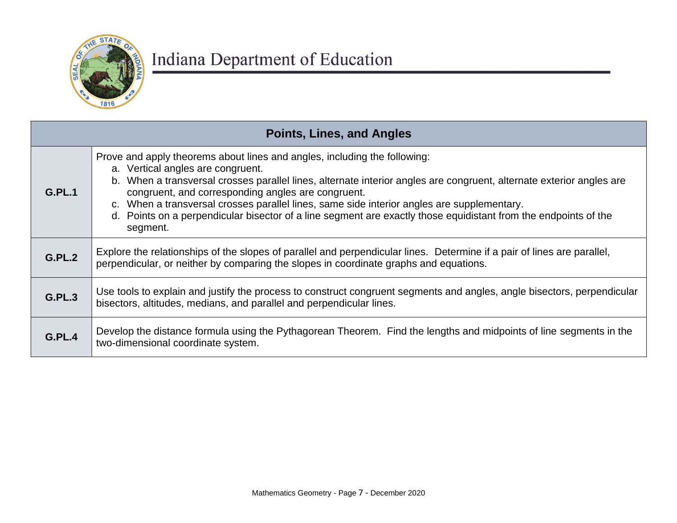

|               | <b>Points, Lines, and Angles</b>                                                                                                                                                                                                                                                                                                                                                                                                                                                                                          |  |
|---------------|---------------------------------------------------------------------------------------------------------------------------------------------------------------------------------------------------------------------------------------------------------------------------------------------------------------------------------------------------------------------------------------------------------------------------------------------------------------------------------------------------------------------------|--|
| G.PL.1        | Prove and apply theorems about lines and angles, including the following:<br>a. Vertical angles are congruent.<br>b. When a transversal crosses parallel lines, alternate interior angles are congruent, alternate exterior angles are<br>congruent, and corresponding angles are congruent.<br>c. When a transversal crosses parallel lines, same side interior angles are supplementary.<br>d. Points on a perpendicular bisector of a line segment are exactly those equidistant from the endpoints of the<br>segment. |  |
| G.PL.2        | Explore the relationships of the slopes of parallel and perpendicular lines. Determine if a pair of lines are parallel,<br>perpendicular, or neither by comparing the slopes in coordinate graphs and equations.                                                                                                                                                                                                                                                                                                          |  |
| <b>G.PL.3</b> | Use tools to explain and justify the process to construct congruent segments and angles, angle bisectors, perpendicular<br>bisectors, altitudes, medians, and parallel and perpendicular lines.                                                                                                                                                                                                                                                                                                                           |  |
| <b>G.PL.4</b> | Develop the distance formula using the Pythagorean Theorem. Find the lengths and midpoints of line segments in the<br>two-dimensional coordinate system.                                                                                                                                                                                                                                                                                                                                                                  |  |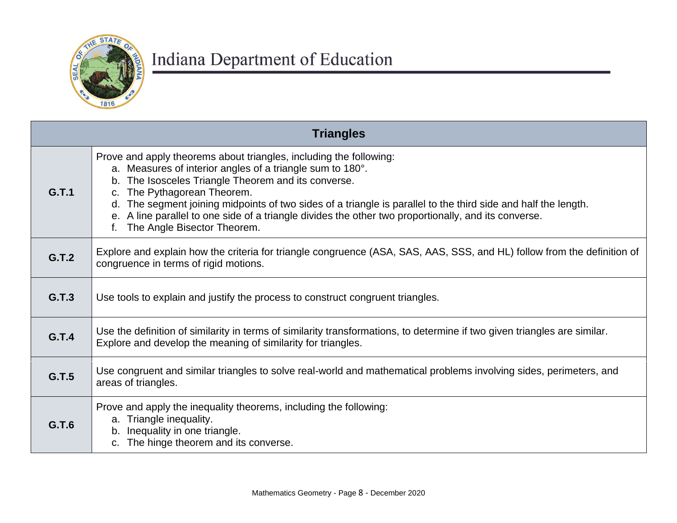

| <b>Triangles</b> |                                                                                                                                                                                                                                                                                                                                                                                                                                                                                        |
|------------------|----------------------------------------------------------------------------------------------------------------------------------------------------------------------------------------------------------------------------------------------------------------------------------------------------------------------------------------------------------------------------------------------------------------------------------------------------------------------------------------|
| G.T.1            | Prove and apply theorems about triangles, including the following:<br>a. Measures of interior angles of a triangle sum to 180°.<br>b. The Isosceles Triangle Theorem and its converse.<br>The Pythagorean Theorem.<br>$C_{1}$<br>d. The segment joining midpoints of two sides of a triangle is parallel to the third side and half the length.<br>e. A line parallel to one side of a triangle divides the other two proportionally, and its converse.<br>The Angle Bisector Theorem. |
| G.T.2            | Explore and explain how the criteria for triangle congruence (ASA, SAS, AAS, SSS, and HL) follow from the definition of<br>congruence in terms of rigid motions.                                                                                                                                                                                                                                                                                                                       |
| G.T.3            | Use tools to explain and justify the process to construct congruent triangles.                                                                                                                                                                                                                                                                                                                                                                                                         |
| G.T.4            | Use the definition of similarity in terms of similarity transformations, to determine if two given triangles are similar.<br>Explore and develop the meaning of similarity for triangles.                                                                                                                                                                                                                                                                                              |
| G.T.5            | Use congruent and similar triangles to solve real-world and mathematical problems involving sides, perimeters, and<br>areas of triangles.                                                                                                                                                                                                                                                                                                                                              |
| G.T.6            | Prove and apply the inequality theorems, including the following:<br>a. Triangle inequality.<br>Inequality in one triangle.<br>b.<br>The hinge theorem and its converse.                                                                                                                                                                                                                                                                                                               |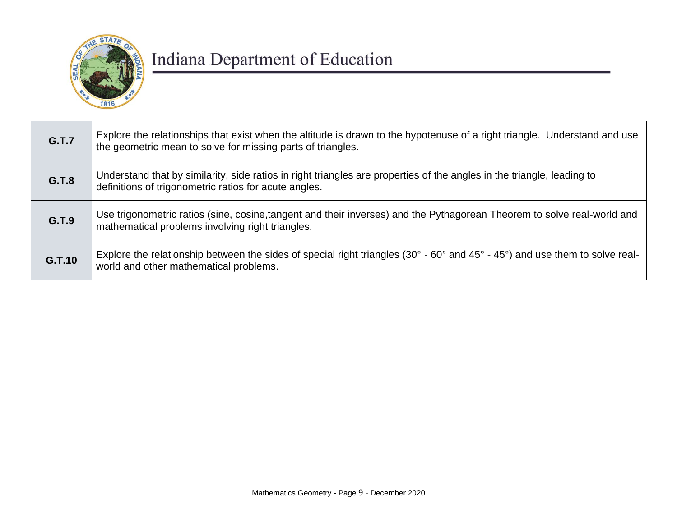

| <b>G.T.7</b> | Explore the relationships that exist when the altitude is drawn to the hypotenuse of a right triangle. Understand and use<br>the geometric mean to solve for missing parts of triangles. |
|--------------|------------------------------------------------------------------------------------------------------------------------------------------------------------------------------------------|
| G.T.8        | Understand that by similarity, side ratios in right triangles are properties of the angles in the triangle, leading to<br>definitions of trigonometric ratios for acute angles.          |
| G.T.9        | Use trigonometric ratios (sine, cosine, tangent and their inverses) and the Pythagorean Theorem to solve real-world and<br>mathematical problems involving right triangles.              |
| G.T.10       | Explore the relationship between the sides of special right triangles (30° - 60° and 45° - 45°) and use them to solve real-<br>world and other mathematical problems.                    |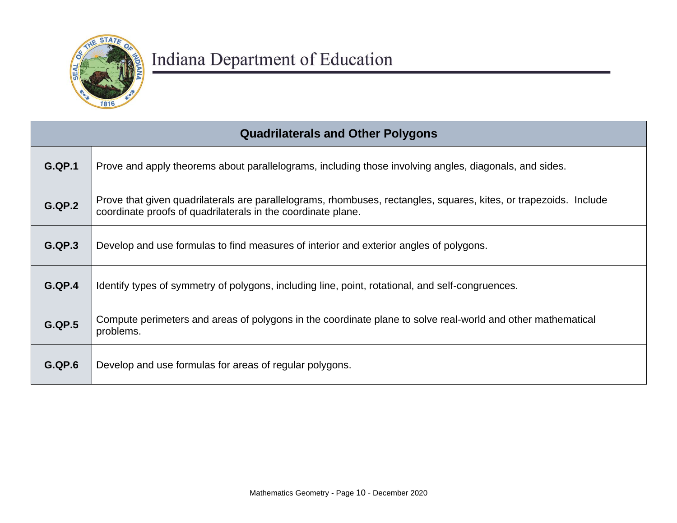

| <b>Quadrilaterals and Other Polygons</b> |                                                                                                                                                                                   |
|------------------------------------------|-----------------------------------------------------------------------------------------------------------------------------------------------------------------------------------|
| G.QP.1                                   | Prove and apply theorems about parallelograms, including those involving angles, diagonals, and sides.                                                                            |
| <b>G.QP.2</b>                            | Prove that given quadrilaterals are parallelograms, rhombuses, rectangles, squares, kites, or trapezoids. Include<br>coordinate proofs of quadrilaterals in the coordinate plane. |
| G.QP.3                                   | Develop and use formulas to find measures of interior and exterior angles of polygons.                                                                                            |
| G.QP.4                                   | Identify types of symmetry of polygons, including line, point, rotational, and self-congruences.                                                                                  |
| <b>G.QP.5</b>                            | Compute perimeters and areas of polygons in the coordinate plane to solve real-world and other mathematical<br>problems.                                                          |
| <b>G.QP.6</b>                            | Develop and use formulas for areas of regular polygons.                                                                                                                           |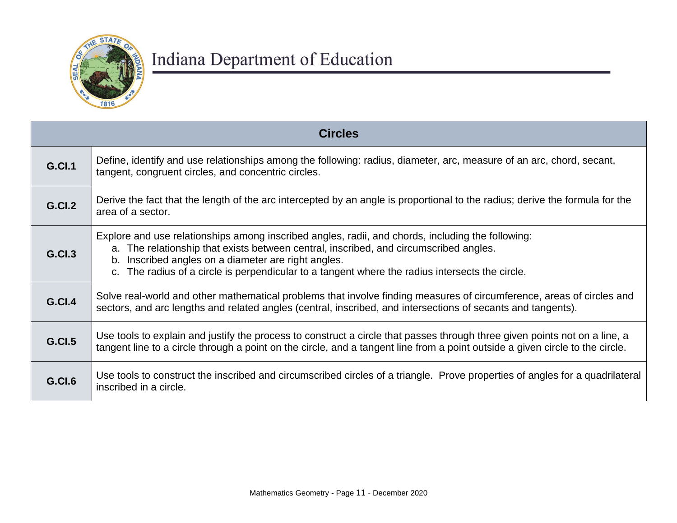

| <b>Circles</b> |                                                                                                                                                                                                                                                                                                                                                   |
|----------------|---------------------------------------------------------------------------------------------------------------------------------------------------------------------------------------------------------------------------------------------------------------------------------------------------------------------------------------------------|
| <b>G.Cl.1</b>  | Define, identify and use relationships among the following: radius, diameter, arc, measure of an arc, chord, secant,<br>tangent, congruent circles, and concentric circles.                                                                                                                                                                       |
| <b>G.Cl.2</b>  | Derive the fact that the length of the arc intercepted by an angle is proportional to the radius; derive the formula for the<br>area of a sector.                                                                                                                                                                                                 |
| <b>G.Cl.3</b>  | Explore and use relationships among inscribed angles, radii, and chords, including the following:<br>a. The relationship that exists between central, inscribed, and circumscribed angles.<br>b. Inscribed angles on a diameter are right angles.<br>The radius of a circle is perpendicular to a tangent where the radius intersects the circle. |
| <b>G.Cl.4</b>  | Solve real-world and other mathematical problems that involve finding measures of circumference, areas of circles and<br>sectors, and arc lengths and related angles (central, inscribed, and intersections of secants and tangents).                                                                                                             |
| <b>G.Cl.5</b>  | Use tools to explain and justify the process to construct a circle that passes through three given points not on a line, a<br>tangent line to a circle through a point on the circle, and a tangent line from a point outside a given circle to the circle.                                                                                       |
| G.CI.6         | Use tools to construct the inscribed and circumscribed circles of a triangle. Prove properties of angles for a quadrilateral<br>inscribed in a circle.                                                                                                                                                                                            |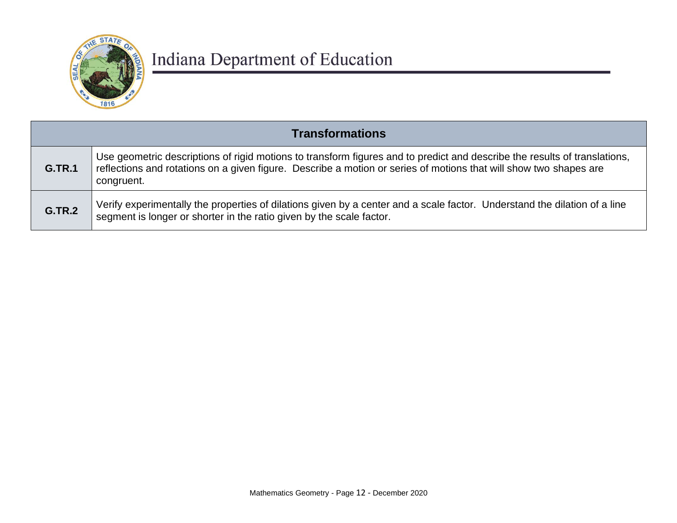

| <b>Transformations</b> |                                                                                                                                                                                                                                                              |
|------------------------|--------------------------------------------------------------------------------------------------------------------------------------------------------------------------------------------------------------------------------------------------------------|
| <b>G.TR.1</b>          | Use geometric descriptions of rigid motions to transform figures and to predict and describe the results of translations,<br>reflections and rotations on a given figure. Describe a motion or series of motions that will show two shapes are<br>congruent. |
| <b>G.TR.2</b>          | Verify experimentally the properties of dilations given by a center and a scale factor. Understand the dilation of a line<br>segment is longer or shorter in the ratio given by the scale factor.                                                            |